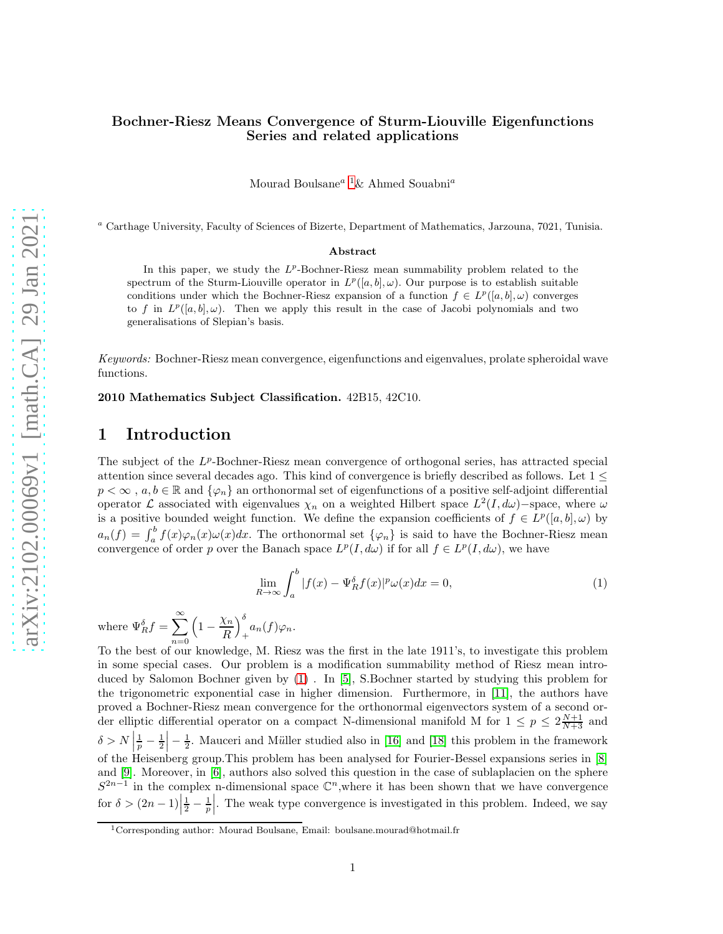#### Bochner-Riesz Means Convergence of Sturm-Liouville Eigenfunctions Series and related applications

Mourad Boulsane<sup>a [1](#page-0-0)</sup>& Ahmed Souabni<sup>a</sup>

<sup>a</sup> Carthage University, Faculty of Sciences of Bizerte, Department of Mathematics, Jarzouna, 7021, Tunisia.

#### Abstract

In this paper, we study the  $L^p$ -Bochner-Riesz mean summability problem related to the spectrum of the Sturm-Liouville operator in  $L^p([a, b], \omega)$ . Our purpose is to establish suitable conditions under which the Bochner-Riesz expansion of a function  $f \in L^p([a, b], \omega)$  converges to f in  $L^p([a, b], \omega)$ . Then we apply this result in the case of Jacobi polynomials and two generalisations of Slepian's basis.

Keywords: Bochner-Riesz mean convergence, eigenfunctions and eigenvalues, prolate spheroidal wave functions.

2010 Mathematics Subject Classification. 42B15, 42C10.

## 1 Introduction

The subject of the  $L^p$ -Bochner-Riesz mean convergence of orthogonal series, has attracted special attention since several decades ago. This kind of convergence is briefly described as follows. Let 1 ≤  $p < \infty$ ,  $a, b \in \mathbb{R}$  and  $\{\varphi_n\}$  an orthonormal set of eigenfunctions of a positive self-adjoint differential operator L associated with eigenvalues  $\chi_n$  on a weighted Hilbert space  $L^2(I, d\omega)$ -space, where  $\omega$ is a positive bounded weight function. We define the expansion coefficients of  $f \in L^p([a, b], \omega)$  by  $a_n(f) = \int_a^b f(x)\varphi_n(x)\omega(x)dx$ . The orthonormal set  $\{\varphi_n\}$  is said to have the Bochner-Riesz mean convergence of order p over the Banach space  $L^p(I, d\omega)$  if for all  $f \in L^p(I, d\omega)$ , we have

<span id="page-0-1"></span>
$$
\lim_{R \to \infty} \int_{a}^{b} |f(x) - \Psi_{R}^{\delta} f(x)|^{p} \omega(x) dx = 0,
$$
\n(1)

where  $\Psi_R^{\delta} f = \sum_{n=1}^{\infty}$  $n=0$  $\left(1-\frac{\chi_n}{R}\right)$ R  $\setminus^{\delta}$  $a_n(f)\varphi_n.$ 

To the best of our knowledge, M. Riesz was the first in the late 1911's, to investigate this problem in some special cases. Our problem is a modification summability method of Riesz mean introduced by Salomon Bochner given by [\(1\)](#page-0-1) . In [\[5\]](#page-14-0), S.Bochner started by studying this problem for the trigonometric exponential case in higher dimension. Furthermore, in [\[11\]](#page-14-1), the authors have proved a Bochner-Riesz mean convergence for the orthonormal eigenvectors system of a second order elliptic differential operator on a compact N-dimensional manifold M for  $1 \le p \le 2\frac{N+1}{N+3}$  and  $\delta > N \left| \frac{1}{p} - \frac{1}{2} \right|$  $-\frac{1}{2}$ . Mauceri and Müller studied also in [\[16\]](#page-14-2) and [\[18\]](#page-14-3) this problem in the framework of the Heisenberg group.This problem has been analysed for Fourier-Bessel expansions series in [\[8\]](#page-14-4) and [\[9\]](#page-14-5). Moreover, in [\[6\]](#page-14-6), authors also solved this question in the case of sublaplacien on the sphere  $S^{2n-1}$  in the complex n-dimensional space  $\mathbb{C}^n$ , where it has been shown that we have convergence for  $\delta > (2n-1)\left|\frac{1}{2} - \frac{1}{p}\right|$ . The weak type convergence is investigated in this problem. Indeed, we say

<span id="page-0-0"></span><sup>&</sup>lt;sup>1</sup>Corresponding author: Mourad Boulsane, Email: boulsane.mourad@hotmail.fr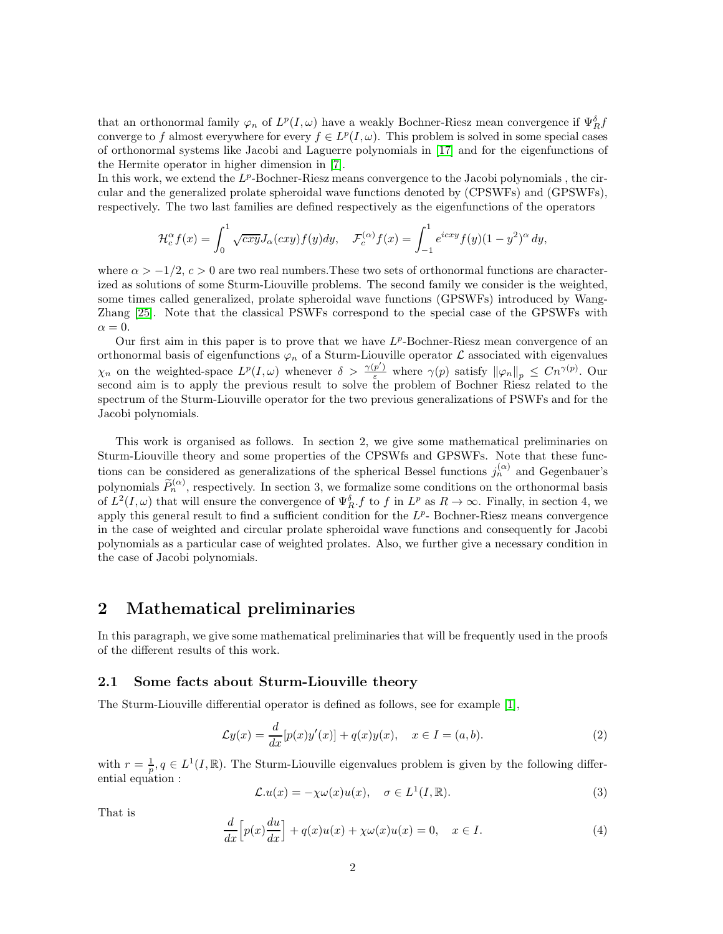that an orthonormal family  $\varphi_n$  of  $L^p(I,\omega)$  have a weakly Bochner-Riesz mean convergence if  $\Psi_R^{\delta}$ converge to f almost everywhere for every  $f \in L^p(I, \omega)$ . This problem is solved in some special cases of orthonormal systems like Jacobi and Laguerre polynomials in [\[17\]](#page-14-7) and for the eigenfunctions of the Hermite operator in higher dimension in [\[7\]](#page-14-8).

In this work, we extend the  $L^p$ -Bochner-Riesz means convergence to the Jacobi polynomials, the circular and the generalized prolate spheroidal wave functions denoted by (CPSWFs) and (GPSWFs), respectively. The two last families are defined respectively as the eigenfunctions of the operators

$$
\mathcal{H}_c^{\alpha} f(x) = \int_0^1 \sqrt{cxy} J_{\alpha}(cxy) f(y) dy, \quad \mathcal{F}_c^{(\alpha)} f(x) = \int_{-1}^1 e^{icxy} f(y) (1 - y^2)^{\alpha} dy,
$$

where  $\alpha > -1/2$ ,  $c > 0$  are two real numbers. These two sets of orthonormal functions are characterized as solutions of some Sturm-Liouville problems. The second family we consider is the weighted, some times called generalized, prolate spheroidal wave functions (GPSWFs) introduced by Wang-Zhang [\[25\]](#page-15-0). Note that the classical PSWFs correspond to the special case of the GPSWFs with  $\alpha = 0.$ 

Our first aim in this paper is to prove that we have  $L^p$ -Bochner-Riesz mean convergence of an orthonormal basis of eigenfunctions  $\varphi_n$  of a Sturm-Liouville operator  $\mathcal L$  associated with eigenvalues  $\chi_n$  on the weighted-space  $L^p(I,\omega)$  whenever  $\delta > \frac{\gamma(p')}{\varepsilon}$  where  $\gamma(p)$  satisfy  $\|\varphi_n\|_p \leq Cn^{\gamma(p)}$ . Our second aim is to apply the previous result to solve the problem of Bochner Riesz related to the spectrum of the Sturm-Liouville operator for the two previous generalizations of PSWFs and for the Jacobi polynomials.

This work is organised as follows. In section 2, we give some mathematical preliminaries on Sturm-Liouville theory and some properties of the CPSWfs and GPSWFs. Note that these functions can be considered as generalizations of the spherical Bessel functions  $j_n^{(\alpha)}$  and Gegenbauer's polynomials  $\widetilde{P}_n^{(\alpha)}$ , respectively. In section 3, we formalize some conditions on the orthonormal basis of  $L^2(I,\omega)$  that will ensure the convergence of  $\Psi_R^{\delta}$  f to f in  $L^p$  as  $R \to \infty$ . Finally, in section 4, we apply this general result to find a sufficient condition for the  $L^p$ - Bochner-Riesz means convergence in the case of weighted and circular prolate spheroidal wave functions and consequently for Jacobi polynomials as a particular case of weighted prolates. Also, we further give a necessary condition in the case of Jacobi polynomials.

## 2 Mathematical preliminaries

In this paragraph, we give some mathematical preliminaries that will be frequently used in the proofs of the different results of this work.

#### 2.1 Some facts about Sturm-Liouville theory

The Sturm-Liouville differential operator is defined as follows, see for example [1],

$$
\mathcal{L}y(x) = \frac{d}{dx}[p(x)y'(x)] + q(x)y(x), \quad x \in I = (a, b).
$$
\n(2)

with  $r = \frac{1}{p}, q \in L^1(I, \mathbb{R})$ . The Sturm-Liouville eigenvalues problem is given by the following differential equation :

$$
\mathcal{L}.u(x) = -\chi \omega(x)u(x), \quad \sigma \in L^1(I,\mathbb{R}).
$$
\n(3)

That is

$$
\frac{d}{dx}\left[p(x)\frac{du}{dx}\right] + q(x)u(x) + \chi\omega(x)u(x) = 0, \quad x \in I.
$$
\n(4)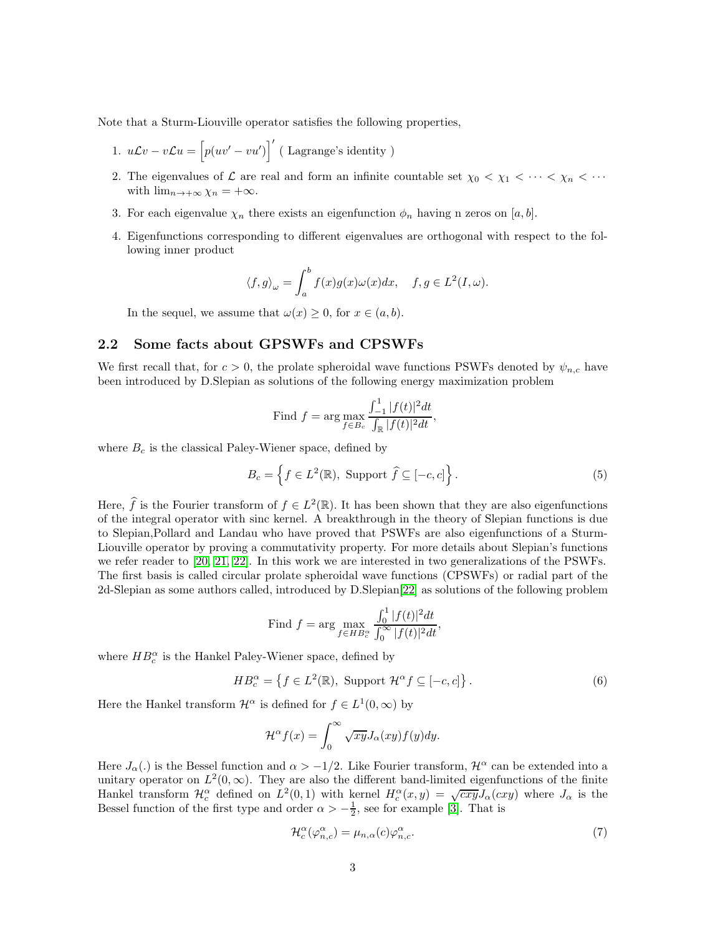Note that a Sturm-Liouville operator satisfies the following properties,

- 1.  $uLv vLu = [p(uv' vu')]$ <sup>'</sup> (Lagrange's identity)
- 2. The eigenvalues of  $\mathcal L$  are real and form an infinite countable set  $\chi_0 < \chi_1 < \cdots < \chi_n < \cdots$ with  $\lim_{n\to+\infty}\chi_n=+\infty$ .
- 3. For each eigenvalue  $\chi_n$  there exists an eigenfunction  $\phi_n$  having n zeros on [a, b].
- 4. Eigenfunctions corresponding to different eigenvalues are orthogonal with respect to the following inner product

$$
\langle f, g \rangle_{\omega} = \int_{a}^{b} f(x)g(x)\omega(x)dx, \quad f, g \in L^{2}(I, \omega).
$$

In the sequel, we assume that  $\omega(x) \geq 0$ , for  $x \in (a, b)$ .

### 2.2 Some facts about GPSWFs and CPSWFs

We first recall that, for  $c > 0$ , the prolate spheroidal wave functions PSWFs denoted by  $\psi_{n,c}$  have been introduced by D.Slepian as solutions of the following energy maximization problem

Find 
$$
f = \arg \max_{f \in B_c} \frac{\int_{-1}^{1} |f(t)|^2 dt}{\int_{\mathbb{R}} |f(t)|^2 dt}
$$
,

where  $B_c$  is the classical Paley-Wiener space, defined by

$$
B_c = \left\{ f \in L^2(\mathbb{R}), \text{ Support } \hat{f} \subseteq [-c, c] \right\}. \tag{5}
$$

Here,  $\hat{f}$  is the Fourier transform of  $f \in L^2(\mathbb{R})$ . It has been shown that they are also eigenfunctions of the integral operator with sinc kernel. A breakthrough in the theory of Slepian functions is due to Slepian,Pollard and Landau who have proved that PSWFs are also eigenfunctions of a Sturm-Liouville operator by proving a commutativity property. For more details about Slepian's functions we refer reader to [\[20,](#page-14-9) [21,](#page-14-10) [22\]](#page-14-11). In this work we are interested in two generalizations of the PSWFs. The first basis is called circular prolate spheroidal wave functions (CPSWFs) or radial part of the 2d-Slepian as some authors called, introduced by D.Slepian[\[22\]](#page-14-11) as solutions of the following problem

Find 
$$
f = \arg \max_{f \in HB_c^{\alpha}} \frac{\int_0^1 |f(t)|^2 dt}{\int_0^{\infty} |f(t)|^2 dt}
$$
,

where  $HB_c^\alpha$  is the Hankel Paley-Wiener space, defined by

$$
HB_c^{\alpha} = \left\{ f \in L^2(\mathbb{R}), \text{ Support } \mathcal{H}^{\alpha} f \subseteq [-c, c] \right\}. \tag{6}
$$

Here the Hankel transform  $\mathcal{H}^{\alpha}$  is defined for  $f \in L^{1}(0, \infty)$  by

$$
\mathcal{H}^{\alpha}f(x) = \int_0^{\infty} \sqrt{xy} J_{\alpha}(xy) f(y) dy.
$$

Here  $J_\alpha(.)$  is the Bessel function and  $\alpha > -1/2$ . Like Fourier transform,  $\mathcal{H}^\alpha$  can be extended into a unitary operator on  $L^2(0,\infty)$ . They are also the different band-limited eigenfunctions of the finite Hankel transform  $\mathcal{H}_c^{\alpha}$  defined on  $L^2(0,1)$  with kernel  $H_c^{\alpha}(x,y) = \sqrt{cxy}J_{\alpha}(cxy)$  where  $J_{\alpha}$  is the Bessel function of the first type and order  $\alpha > -\frac{1}{2}$ , see for example [\[3\]](#page-13-0). That is

$$
\mathcal{H}_c^{\alpha}(\varphi_{n,c}^{\alpha}) = \mu_{n,\alpha}(c)\varphi_{n,c}^{\alpha}.
$$
\n(7)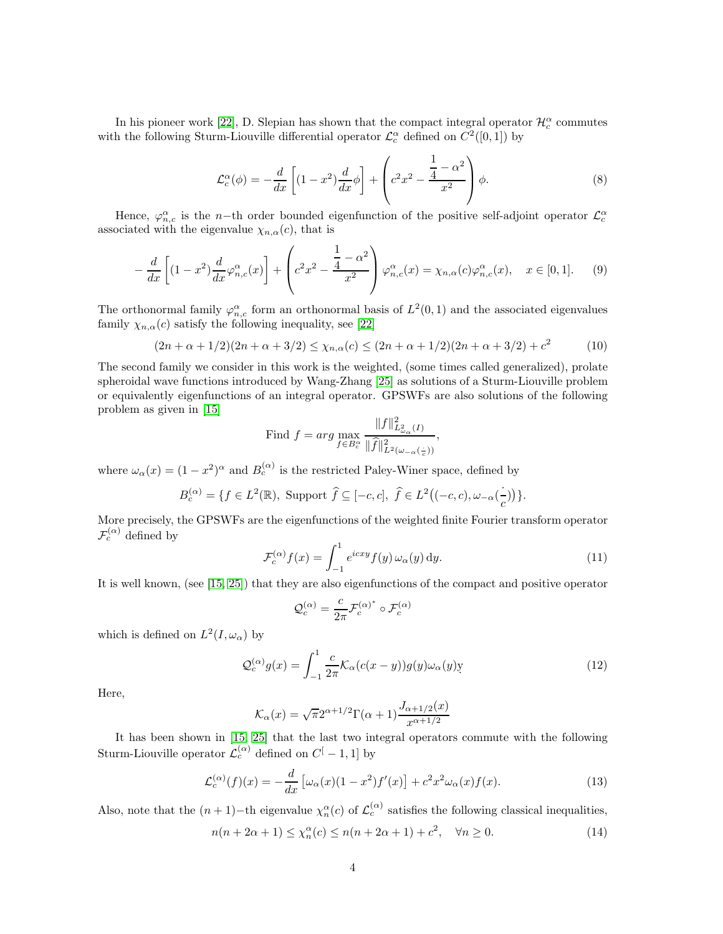In his pioneer work [\[22\]](#page-14-11), D. Slepian has shown that the compact integral operator  $\mathcal{H}_c^{\alpha}$  commutes with the following Sturm-Liouville differential operator  $\mathcal{L}_c^{\alpha}$  defined on  $C^2([0,1])$  by

$$
\mathcal{L}_c^{\alpha}(\phi) = -\frac{d}{dx}\left[ (1-x^2)\frac{d}{dx}\phi \right] + \left( c^2x^2 - \frac{\frac{1}{4} - \alpha^2}{x^2} \right)\phi.
$$
\n(8)

Hence,  $\varphi_{n,c}^{\alpha}$  is the n-th order bounded eigenfunction of the positive self-adjoint operator  $\mathcal{L}_{c}^{\alpha}$ associated with the eigenvalue  $\chi_{n,\alpha}(c)$ , that is

<span id="page-3-2"></span>
$$
-\frac{d}{dx}\left[ (1-x^2)\frac{d}{dx}\varphi_{n,c}^{\alpha}(x) \right] + \left( c^2x^2 - \frac{\frac{1}{4} - \alpha^2}{x^2} \right)\varphi_{n,c}^{\alpha}(x) = \chi_{n,\alpha}(c)\varphi_{n,c}^{\alpha}(x), \quad x \in [0,1].
$$
 (9)

The orthonormal family  $\varphi_{n,c}^{\alpha}$  form an orthonormal basis of  $L^2(0,1)$  and the associated eigenvalues family  $\chi_{n,\alpha}(c)$  satisfy the following inequality, see [\[22\]](#page-14-11)

<span id="page-3-3"></span>
$$
(2n + \alpha + 1/2)(2n + \alpha + 3/2) \le \chi_{n,\alpha}(c) \le (2n + \alpha + 1/2)(2n + \alpha + 3/2) + c^2 \tag{10}
$$

The second family we consider in this work is the weighted, (some times called generalized), prolate spheroidal wave functions introduced by Wang-Zhang [\[25\]](#page-15-0) as solutions of a Sturm-Liouville problem or equivalently eigenfunctions of an integral operator. GPSWFs are also solutions of the following problem as given in [\[15\]](#page-14-12)

Find 
$$
f = arg \max_{f \in B_c^{\alpha}} \frac{\|f\|_{L^2_{\omega_\alpha}(I)}^2}{\|\widehat{f}\|_{L^2(\omega_{-\alpha}(\frac{1}{c}))}^2},
$$

where  $\omega_{\alpha}(x) = (1 - x^2)^{\alpha}$  and  $B_c^{(\alpha)}$  is the restricted Paley-Winer space, defined by

$$
B_c^{(\alpha)}=\{f\in L^2(\mathbb{R}),\,\,\text{Support}\,\,\widehat{f}\subseteq [-c,c],\,\,\widehat{f}\in L^2\big((-c,c),\omega_{-\alpha}(\frac{\cdot}{c})\big)\}.
$$

More precisely, the GPSWFs are the eigenfunctions of the weighted finite Fourier transform operator  $\mathcal{F}_c^{(\alpha)}$  defined by

$$
\mathcal{F}_c^{(\alpha)}f(x) = \int_{-1}^1 e^{icxy} f(y) \,\omega_\alpha(y) \,\mathrm{d}y. \tag{11}
$$

It is well known, (see [\[15,](#page-14-12) [25\]](#page-15-0)) that they are also eigenfunctions of the compact and positive operator

$$
\mathcal{Q}_c^{(\alpha)}=\frac{c}{2\pi}\mathcal{F}_c^{(\alpha)^*}\circ\mathcal{F}_c^{(\alpha)}
$$

which is defined on  $L^2(I, \omega_\alpha)$  by

$$
\mathcal{Q}_c^{(\alpha)}g(x) = \int_{-1}^1 \frac{c}{2\pi} \mathcal{K}_\alpha(c(x-y))g(y)\omega_\alpha(y)y \tag{12}
$$

Here,

$$
\mathcal{K}_{\alpha}(x) = \sqrt{\pi}2^{\alpha+1/2}\Gamma(\alpha+1)\frac{J_{\alpha+1/2}(x)}{x^{\alpha+1/2}}
$$

It has been shown in [\[15,](#page-14-12) [25\]](#page-15-0) that the last two integral operators commute with the following Sturm-Liouville operator  $\mathcal{L}_c^{(\alpha)}$  defined on  $C^[-1,1]$  by

<span id="page-3-0"></span>
$$
\mathcal{L}_c^{(\alpha)}(f)(x) = -\frac{d}{dx} \left[ \omega_\alpha(x) (1 - x^2) f'(x) \right] + c^2 x^2 \omega_\alpha(x) f(x). \tag{13}
$$

Also, note that the  $(n+1)$ -th eigenvalue  $\chi_n^{\alpha}(c)$  of  $\mathcal{L}_c^{(\alpha)}$  satisfies the following classical inequalities,

<span id="page-3-1"></span>
$$
n(n+2\alpha+1) \le \chi_n^{\alpha}(c) \le n(n+2\alpha+1) + c^2, \quad \forall n \ge 0.
$$
 (14)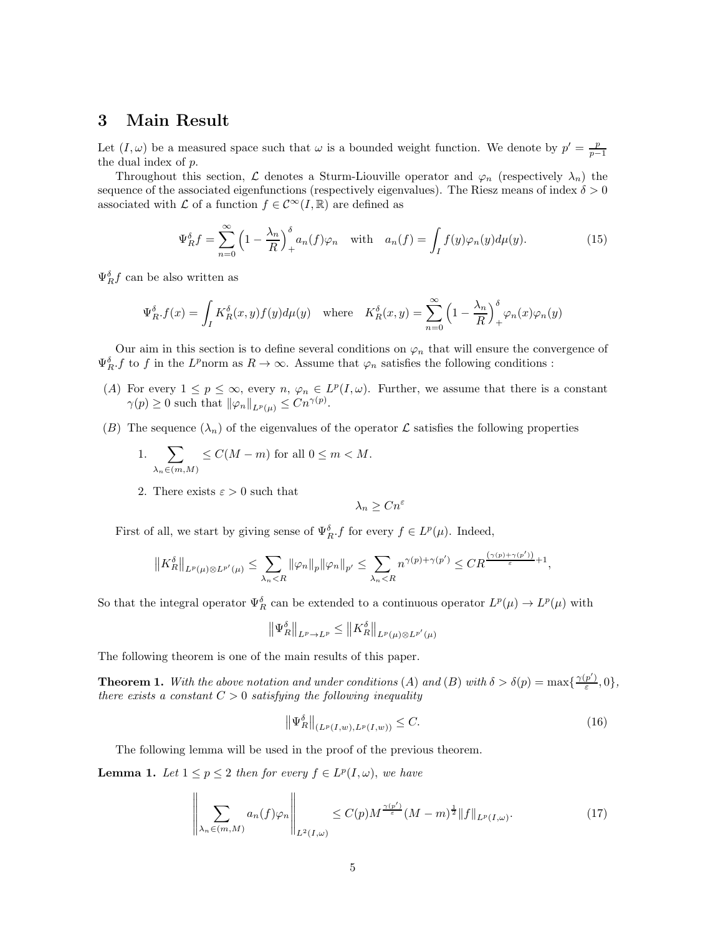### 3 Main Result

Let  $(I, \omega)$  be a measured space such that  $\omega$  is a bounded weight function. We denote by  $p' = \frac{p}{p-1}$ the dual index of p.

Throughout this section, L denotes a Sturm-Liouville operator and  $\varphi_n$  (respectively  $\lambda_n$ ) the sequence of the associated eigenfunctions (respectively eigenvalues). The Riesz means of index  $\delta > 0$ associated with  $\mathcal L$  of a function  $f\in\mathcal C^\infty(I,\mathbb R)$  are defined as

$$
\Psi_R^{\delta} f = \sum_{n=0}^{\infty} \left( 1 - \frac{\lambda_n}{R} \right)_+^{\delta} a_n(f) \varphi_n \quad \text{with} \quad a_n(f) = \int_I f(y) \varphi_n(y) d\mu(y). \tag{15}
$$

 $\Psi_R^{\delta} f$  can be also written as

$$
\Psi_R^{\delta} f(x) = \int_I K_R^{\delta}(x, y) f(y) d\mu(y) \quad \text{where} \quad K_R^{\delta}(x, y) = \sum_{n=0}^{\infty} \left(1 - \frac{\lambda_n}{R}\right)_+^{\delta} \varphi_n(x) \varphi_n(y)
$$

Our aim in this section is to define several conditions on  $\varphi_n$  that will ensure the convergence of  $\Psi_R^{\delta}$ , f to f in the L<sup>p</sup>norm as  $R \to \infty$ . Assume that  $\varphi_n$  satisfies the following conditions :

- (A) For every  $1 \leq p \leq \infty$ , every  $n, \varphi_n \in L^p(I, \omega)$ . Further, we assume that there is a constant  $\gamma(p) \geq 0$  such that  $\|\varphi_n\|_{L^p(\mu)} \leq Cn^{\gamma(p)}$ .
- (B) The sequence  $(\lambda_n)$  of the eigenvalues of the operator  $\mathcal L$  satisfies the following properties

1. 
$$
\sum_{\lambda_n \in (m,M)} \leq C(M-m)
$$
 for all  $0 \leq m < M$ .

2. There exists  $\varepsilon > 0$  such that

$$
\lambda_n \geq C n^{\varepsilon}
$$

First of all, we start by giving sense of  $\Psi_R^{\delta}$ . f for every  $f \in L^p(\mu)$ . Indeed,

$$
||K_R^{\delta}||_{L^p(\mu)\otimes L^{p'}(\mu)} \leq \sum_{\lambda_n < R} ||\varphi_n||_p ||\varphi_n||_{p'} \leq \sum_{\lambda_n < R} n^{\gamma(p)+\gamma(p')} \leq CR^{\frac{(\gamma(p)+\gamma(p'))}{\varepsilon}+1},
$$

So that the integral operator  $\Psi_R^{\delta}$  can be extended to a continuous operator  $L^p(\mu) \to L^p(\mu)$  with

$$
\left\| \Psi_R^{\delta} \right\|_{L^p \to L^p} \le \left\| K_R^{\delta} \right\|_{L^p(\mu) \otimes L^{p'}(\mu)}
$$

The following theorem is one of the main results of this paper.

**Theorem 1.** With the above notation and under conditions (A) and (B) with  $\delta > \delta(p) = \max\{\frac{\gamma(p')}{\varepsilon}\}$  $\frac{p}{\varepsilon}, 0\},\,$ there exists a constant  $C > 0$  satisfying the following inequality

<span id="page-4-0"></span>
$$
\left\| \Psi_R^{\delta} \right\|_{(L^p(I,w), L^p(I,w))} \le C. \tag{16}
$$

The following lemma will be used in the proof of the previous theorem.

**Lemma 1.** Let  $1 \leq p \leq 2$  then for every  $f \in L^p(I, \omega)$ , we have

$$
\left\| \sum_{\lambda_n \in (m,M)} a_n(f)\varphi_n \right\|_{L^2(I,\omega)} \le C(p) M^{\frac{\gamma(p')}{\varepsilon}} (M-m)^{\frac{1}{2}} \|f\|_{L^p(I,\omega)}.
$$
\n(17)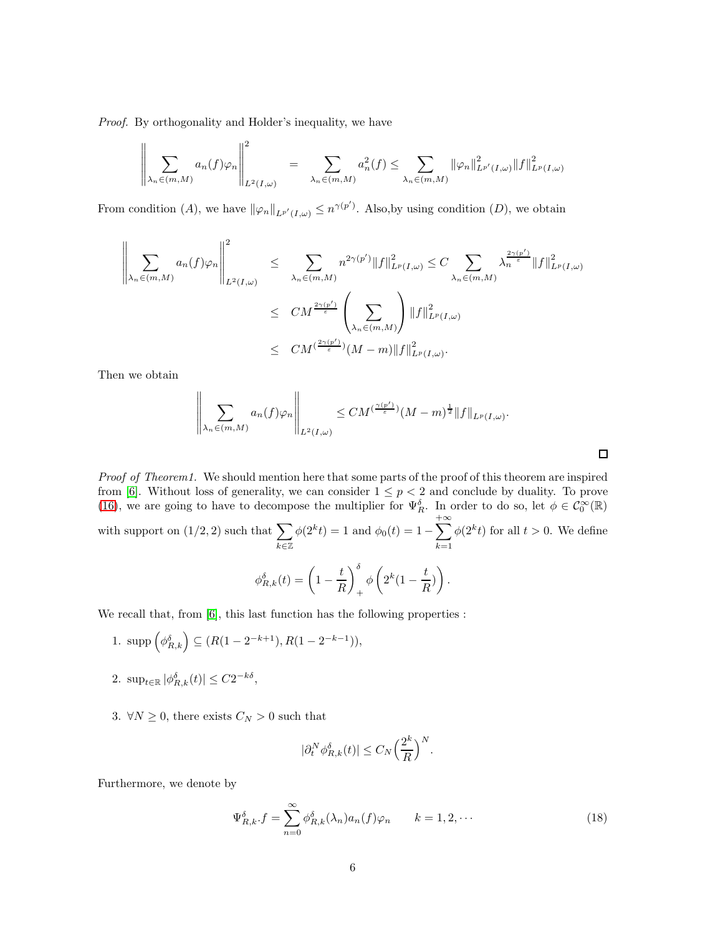Proof. By orthogonality and Holder's inequality, we have

$$
\left\|\sum_{\lambda_n\in(m,M)}a_n(f)\varphi_n\right\|_{L^2(I,\omega)}^2 = \sum_{\lambda_n\in(m,M)}a_n^2(f) \leq \sum_{\lambda_n\in(m,M)}\|\varphi_n\|_{L^{p'}(I,\omega)}^2\|f\|_{L^p(I,\omega)}^2
$$

From condition (A), we have  $\|\varphi_n\|_{L^{p'}(I,\omega)} \leq n^{\gamma(p')}$ . Also, by using condition (D), we obtain

$$
\left\| \sum_{\lambda_n \in (m,M)} a_n(f)\varphi_n \right\|_{L^2(I,\omega)}^2 \leq \sum_{\lambda_n \in (m,M)} n^{2\gamma(p')} \|f\|_{L^p(I,\omega)}^2 \leq C \sum_{\lambda_n \in (m,M)} \lambda_n^{\frac{2\gamma(p')}{{\varepsilon}}} \|f\|_{L^p(I,\omega)}^2
$$
  

$$
\leq CM^{\frac{2\gamma(p')}{{\varepsilon}}} \left(\sum_{\lambda_n \in (m,M)}\right) \|f\|_{L^p(I,\omega)}^2
$$
  

$$
\leq CM^{(\frac{2\gamma(p')}{\varepsilon})} (M-m) \|f\|_{L^p(I,\omega)}^2.
$$

Then we obtain

$$
\left\|\sum_{\lambda_n\in(m,M)}a_n(f)\varphi_n\right\|_{L^2(I,\omega)}\leq CM^{(\frac{\gamma(p')}{\varepsilon})}(M-m)^{\frac{1}{2}}\|f\|_{L^p(I,\omega)}.
$$

 $\Box$ 

Proof of Theorem1. We should mention here that some parts of the proof of this theorem are inspired from [\[6\]](#page-14-6). Without loss of generality, we can consider  $1 \leq p \leq 2$  and conclude by duality. To prove [\(16\)](#page-4-0), we are going to have to decompose the multiplier for  $\Psi_R^{\delta}$ . In order to do so, let  $\phi \in C_0^{\infty}(\mathbb{R})$ with support on  $(1/2, 2)$  such that  $\sum$ k∈Z  $\phi(2^k t) = 1$  and  $\phi_0(t) = 1 - \sum_{k=1}^{+\infty}$  $k=1$  $\phi(2^k t)$  for all  $t > 0$ . We define  $\phi_{R,k}^{\delta}(t) = \left(1 - \frac{t}{B}\right)$ R  $\setminus^{\delta}$ + φ  $\sqrt{2}$  $2^k(1-\frac{t}{\overline{B}}$  $\frac{1}{R}$  $\setminus$ .

We recall that, from [\[6\]](#page-14-6), this last function has the following properties :

- 1. supp  $(\phi_{R,k}^{\delta}) \subseteq (R(1 2^{-k+1}), R(1 2^{-k-1})),$
- 2.  $\sup_{t \in \mathbb{R}} |\phi_{R,k}^{\delta}(t)| \leq C2^{-k\delta},$
- 3.  $\forall N \geq 0$ , there exists  $C_N > 0$  such that

$$
|\partial_t^N \phi_{R,k}^{\delta}(t)| \le C_N \left(\frac{2^k}{R}\right)^N.
$$

Furthermore, we denote by

$$
\Psi_{R,k}^{\delta} \cdot f = \sum_{n=0}^{\infty} \phi_{R,k}^{\delta}(\lambda_n) a_n(f) \varphi_n \qquad k = 1, 2, \cdots
$$
\n(18)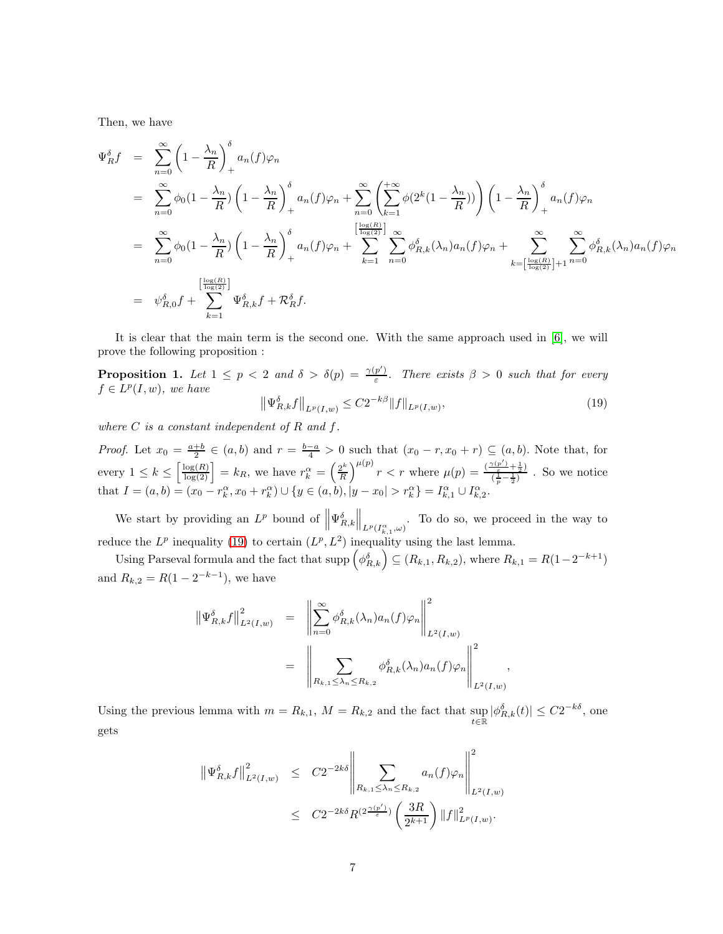Then, we have

$$
\Psi_{R}^{\delta}f = \sum_{n=0}^{\infty} \left(1 - \frac{\lambda_{n}}{R}\right)_{+}^{\delta} a_{n}(f)\varphi_{n}
$$
\n
$$
= \sum_{n=0}^{\infty} \phi_{0}(1 - \frac{\lambda_{n}}{R}) \left(1 - \frac{\lambda_{n}}{R}\right)_{+}^{\delta} a_{n}(f)\varphi_{n} + \sum_{n=0}^{\infty} \left(\sum_{k=1}^{+\infty} \phi(2^{k}(1 - \frac{\lambda_{n}}{R}))\right) \left(1 - \frac{\lambda_{n}}{R}\right)_{+}^{\delta} a_{n}(f)\varphi_{n}
$$
\n
$$
= \sum_{n=0}^{\infty} \phi_{0}(1 - \frac{\lambda_{n}}{R}) \left(1 - \frac{\lambda_{n}}{R}\right)_{+}^{\delta} a_{n}(f)\varphi_{n} + \sum_{k=1}^{\left[\frac{\log(R)}{\log(2)}\right]} \sum_{n=0}^{\infty} \phi_{R,k}^{\delta}(\lambda_{n})a_{n}(f)\varphi_{n} + \sum_{k=\left[\frac{\log(R)}{\log(2)}\right]+1}^{\infty} \sum_{n=0}^{\infty} \phi_{R,k}^{\delta}(\lambda_{n})a_{n}(f)\varphi_{n}
$$
\n
$$
= \psi_{R,0}^{\delta}f + \sum_{k=1}^{\left[\frac{\log(R)}{\log(2)}\right]} \Psi_{R,k}^{\delta}f + \mathcal{R}_{R}^{\delta}f.
$$

It is clear that the main term is the second one. With the same approach used in [\[6\]](#page-14-6), we will prove the following proposition :

**Proposition 1.** Let  $1 \leq p < 2$  and  $\delta > \delta(p) = \frac{\gamma(p')}{\varepsilon}$  $\frac{p}{\varepsilon}$ . There exists  $\beta > 0$  such that for every  $f \in L^p(I, w)$ , we have

<span id="page-6-0"></span>
$$
\left\| \Psi_{R,k}^{\delta} f \right\|_{L^p(I,w)} \le C 2^{-k\beta} \| f \|_{L^p(I,w)},\tag{19}
$$

,

where  $C$  is a constant independent of  $R$  and  $f$ .

*Proof.* Let  $x_0 = \frac{a+b}{2} \in (a, b)$  and  $r = \frac{b-a}{4} > 0$  such that  $(x_0 - r, x_0 + r) \subseteq (a, b)$ . Note that, for every  $1 \leq k \leq \left\lceil \frac{\log(R)}{\log(2)} \right\rceil = k_R$ , we have  $r_k^{\alpha} = \left(\frac{2^k}{R}\right)^{\frac{1}{k}}$ R  $\int^{\mu(p)} r < r$  where  $\mu(p) = \frac{\left(\frac{\gamma(p')}{\epsilon} + \frac{1}{2}\right)}{\left(\frac{1}{2}-1\right)^2}$  $\frac{\frac{1}{\epsilon}+\frac{1}{2}i}{(\frac{1}{p}-\frac{1}{2})}$ . So we notice that  $I = (a, b) = (x_0 - r_k^{\alpha}, x_0 + r_k^{\alpha}) \cup \{y \in (a, b), |y - x_0| > r_k^{\alpha}\} = I_{k,1}^{\alpha} \cup I_{k,2}^{\alpha}.$ 

We start by providing an  $L^p$  bound of  $\|\Psi_{R,k}^{\delta}\|$  $\big\|_{L^p(I_{k,1}^{\alpha}, \omega)}$ . To do so, we proceed in the way to reduce the  $L^p$  inequality [\(19\)](#page-6-0) to certain  $(L^p, L^2)$  inequality using the last lemma.

Using Parseval formula and the fact that  $\text{supp}\left(\phi_{R,k}^{\delta}\right) \subseteq (R_{k,1}, R_{k,2}),$  where  $R_{k,1} = R(1-2^{-k+1})$ and  $R_{k,2} = R(1 - 2^{-k-1})$ , we have

$$
\|\Psi_{R,k}^{\delta}f\|_{L^2(I,w)}^2 = \left\|\sum_{n=0}^{\infty} \phi_{R,k}^{\delta}(\lambda_n) a_n(f)\varphi_n\right\|_{L^2(I,w)}^2
$$

$$
= \left\|\sum_{R_{k,1}\le\lambda_n\le R_{k,2}} \phi_{R,k}^{\delta}(\lambda_n) a_n(f)\varphi_n\right\|_{L^2(I,w)}^2
$$

Using the previous lemma with  $m = R_{k,1}$ ,  $M = R_{k,2}$  and the fact that  $\sup_{t \in \mathbb{R}} |\phi_{R,k}^{\delta}(t)| \leq C2^{-k\delta}$ , one gets

$$
\|\Psi_{R,k}^{\delta}f\|_{L^{2}(I,w)}^{2} \leq C2^{-2k\delta} \left\|\sum_{R_{k,1}\leq\lambda_{n}\leq R_{k,2}} a_{n}(f)\varphi_{n}\right\|_{L^{2}(I,w)}^{2}
$$
  

$$
\leq C2^{-2k\delta} R^{(2\frac{\gamma(p')}{\varepsilon})} \left(\frac{3R}{2^{k+1}}\right) \|f\|_{L^{p}(I,w)}^{2}.
$$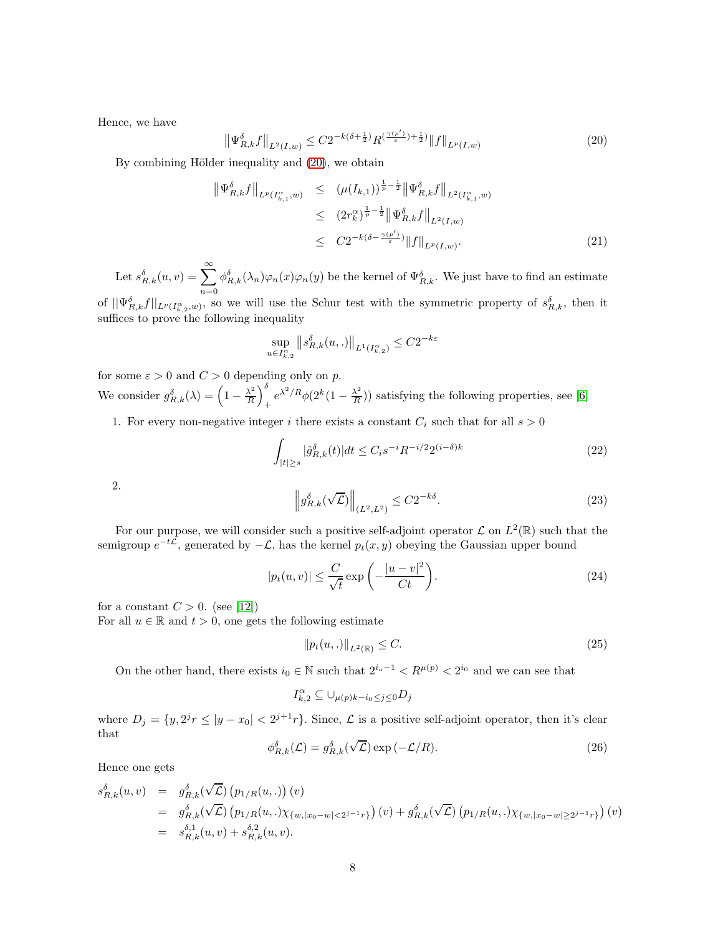Hence, we have

<span id="page-7-0"></span>
$$
\left\|\Psi_{R,k}^{\delta}f\right\|_{L^{2}(I,w)} \leq C2^{-k(\delta+\frac{1}{2})}R^{\left(\frac{\gamma(p')}{\varepsilon}\right)+\frac{1}{2}\right)}\|f\|_{L^{p}(I,w)}\tag{20}
$$

By combining Hölder inequality and  $(20)$ , we obtain

$$
\begin{split} \left\| \Psi_{R,k}^{\delta} f \right\|_{L^{p}(I_{k,1}^{\alpha},w)} &\leq \left( \mu(I_{k,1}) \right)^{\frac{1}{p} - \frac{1}{2}} \left\| \Psi_{R,k}^{\delta} f \right\|_{L^{2}(I_{k,1}^{\alpha},w)} \\ &\leq \left( 2r_{k}^{\alpha} \right)^{\frac{1}{p} - \frac{1}{2}} \left\| \Psi_{R,k}^{\delta} f \right\|_{L^{2}(I,w)} \\ &\leq \left. C2^{-k(\delta - \frac{\gamma(p')}{\varepsilon})} \left\| f \right\|_{L^{p}(I,w)}. \end{split} \tag{21}
$$

Let  $s_{R,k}^{\delta}(u,v) = \sum_{k=0}^{\infty}$  $n=0$  $\phi_{R,k}^{\delta}(\lambda_n)\varphi_n(x)\varphi_n(y)$  be the kernel of  $\Psi_{R,k}^{\delta}$ . We just have to find an estimate

of  $||\Psi_{R,k}^{\delta}f||_{L^{p}(I_{k,2}^{\alpha},w)}$ , so we will use the Schur test with the symmetric property of  $s_{R,k}^{\delta}$ , then it suffices to prove the following inequality

$$
\sup_{u \in I_{k,2}^{\alpha}} \|s_{R,k}^{\delta}(u,.)\|_{L^{1}(I_{k,2}^{\alpha})} \leq C2^{-k\varepsilon}
$$

for some  $\varepsilon > 0$  and  $C > 0$  depending only on p. We consider  $g_{R,k}^{\delta}(\lambda) = \left(1 - \frac{\lambda^2}{R}\right)$ R  $\setminus^{\delta}$  $+e^{\lambda^2/R}\phi(2^k(1-\frac{\lambda^2}{R}))$  $\frac{\lambda^2}{R}$ ) satisfying the following properties, see [\[6\]](#page-14-6)

1. For every non-negative integer i there exists a constant  $C_i$  such that for all  $s > 0$ 

<span id="page-7-3"></span>
$$
\int_{|t| \ge s} |\hat{g}_{R,k}^{\delta}(t)| dt \le C_i s^{-i} R^{-i/2} 2^{(i-\delta)k} \tag{22}
$$

2.

<span id="page-7-1"></span>
$$
\left\|g_{R,k}^{\delta}(\sqrt{\mathcal{L}})\right\|_{(L^2,L^2)} \leq C2^{-k\delta}.\tag{23}
$$

For our purpose, we will consider such a positive self-adjoint operator  $\mathcal L$  on  $L^2(\mathbb R)$  such that the semigroup  $e^{-t\mathcal{L}}$ , generated by  $-\mathcal{L}$ , has the kernel  $p_t(x, y)$  obeying the Gaussian upper bound

<span id="page-7-4"></span>
$$
|p_t(u,v)| \le \frac{C}{\sqrt{t}} \exp\left(-\frac{|u-v|^2}{Ct}\right).
$$
 (24)

for a constant  $C > 0$ . (see [12])

For all  $u \in \mathbb{R}$  and  $t > 0$ , one gets the following estimate

<span id="page-7-2"></span>
$$
||p_t(u,.)||_{L^2(\mathbb{R})} \le C. \tag{25}
$$

On the other hand, there exists  $i_0 \in \mathbb{N}$  such that  $2^{i_0-1} < R^{\mu(p)} < 2^{i_0}$  and we can see that

$$
I^\alpha_{k,2} \subseteq \cup_{\mu(p)k-i_0 \leq j \leq 0} D_j
$$

where  $D_j = \{y, 2^j r \le |y - x_0| < 2^{j+1} r\}$ . Since,  $\mathcal L$  is a positive self-adjoint operator, then it's clear that

$$
\phi_{R,k}^{\delta}(\mathcal{L}) = g_{R,k}^{\delta}(\sqrt{\mathcal{L}}) \exp(-\mathcal{L}/R). \tag{26}
$$

Hence one gets

$$
s_{R,k}^{\delta}(u,v) = g_{R,k}^{\delta}(\sqrt{\mathcal{L}}) (p_{1/R}(u,.)) (v)
$$
  
\n
$$
= g_{R,k}^{\delta}(\sqrt{\mathcal{L}}) (p_{1/R}(u,.)\chi_{\{w, |x_0 - w| < 2^{j-1}r\}}) (v) + g_{R,k}^{\delta}(\sqrt{\mathcal{L}}) (p_{1/R}(u,.)\chi_{\{w, |x_0 - w| \ge 2^{j-1}r\}}) (v)
$$
  
\n
$$
= s_{R,k}^{\delta,1}(u,v) + s_{R,k}^{\delta,2}(u,v).
$$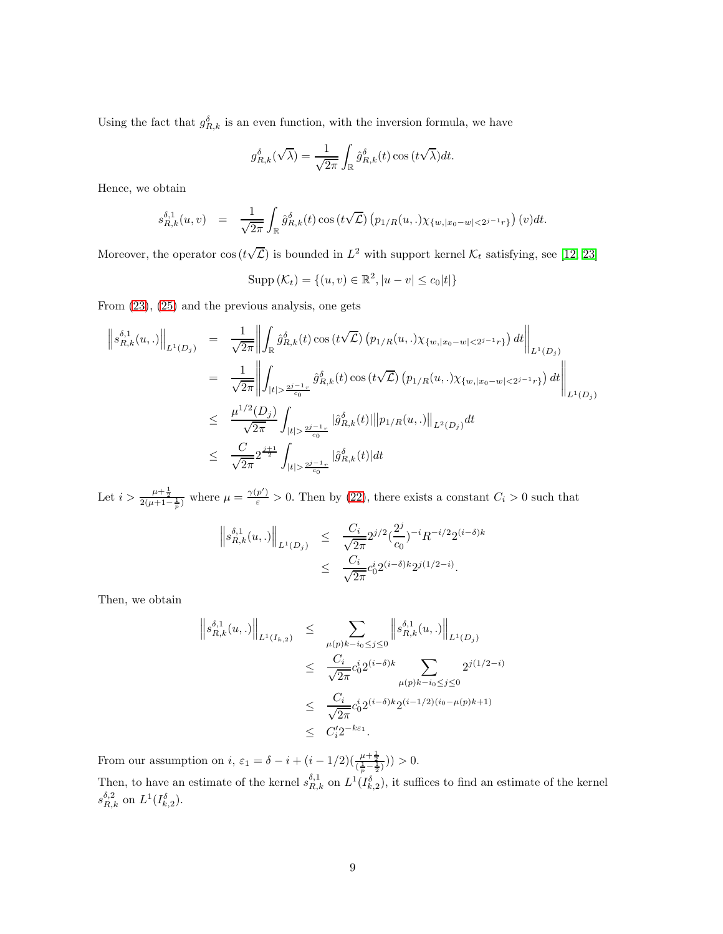Using the fact that  $g_{R,k}^{\delta}$  is an even function, with the inversion formula, we have

$$
g_{R,k}^{\delta}(\sqrt{\lambda}) = \frac{1}{\sqrt{2\pi}} \int_{\mathbb{R}} \hat{g}_{R,k}^{\delta}(t) \cos(t\sqrt{\lambda}) dt.
$$

Hence, we obtain

$$
s_{R,k}^{\delta,1}(u,v) = \frac{1}{\sqrt{2\pi}} \int_{\mathbb{R}} \hat{g}_{R,k}^{\delta}(t) \cos(t\sqrt{\mathcal{L}}) (p_{1/R}(u,.) \chi_{\{w, |x_0-w| < 2^{j-1}r\}}) (v) dt.
$$

Moreover, the operator  $\cos(t\sqrt{\mathcal{L}})$  is bounded in  $L^2$  with support kernel  $\mathcal{K}_t$  satisfying, see [12, [23\]](#page-15-1)

$$
Supp (\mathcal{K}_t) = \{ (u, v) \in \mathbb{R}^2, |u - v| \le c_0 |t| \}
$$

From [\(23\)](#page-7-1), [\(25\)](#page-7-2) and the previous analysis, one gets

$$
\begin{split}\n\left\|s_{R,k}^{\delta,1}(u,.)\right\|_{L^{1}(D_{j})} &= \frac{1}{\sqrt{2\pi}} \left\| \int_{\mathbb{R}} \hat{g}_{R,k}^{\delta}(t) \cos\left(t\sqrt{\mathcal{L}}\right) \left(p_{1/R}(u,.)\chi_{\{w,|x_{0}-w|<2^{j-1}r\}}\right) dt \right\|_{L^{1}(D_{j})} \\
&= \frac{1}{\sqrt{2\pi}} \left\| \int_{|t|> \frac{2^{j-1}r}{c_{0}}} \hat{g}_{R,k}^{\delta}(t) \cos\left(t\sqrt{\mathcal{L}}\right) \left(p_{1/R}(u,.)\chi_{\{w,|x_{0}-w|<2^{j-1}r\}}\right) dt \right\|_{L^{1}(D_{j})} \\
&\leq \frac{\mu^{1/2}(D_{j})}{\sqrt{2\pi}} \int_{|t|> \frac{2^{j-1}r}{c_{0}}} |\hat{g}_{R,k}^{\delta}(t)| \|p_{1/R}(u,.)\|_{L^{2}(D_{j})} dt \\
&\leq \frac{C}{\sqrt{2\pi}} 2^{\frac{j+1}{2}} \int_{|t|> \frac{2^{j-1}r}{c_{0}}} |\hat{g}_{R,k}^{\delta}(t)| dt\n\end{split}
$$

Let  $i > \frac{\mu + \frac{1}{2}}{2(\mu + 1 - \frac{1}{p})}$  where  $\mu = \frac{\gamma(p')}{\varepsilon} > 0$ . Then by [\(22\)](#page-7-3), there exists a constant  $C_i > 0$  such that

$$
\|s_{R,k}^{\delta,1}(u,.)\|_{L^1(D_j)} \leq \frac{C_i}{\sqrt{2\pi}} 2^{j/2} \left(\frac{2^j}{c_0}\right)^{-i} R^{-i/2} 2^{(i-\delta)k}
$$

$$
\leq \frac{C_i}{\sqrt{2\pi}} c_0^i 2^{(i-\delta)k} 2^{j(1/2-i)}.
$$

Then, we obtain

$$
\|s_{R,k}^{\delta,1}(u,.)\|_{L^1(I_{k,2})} \leq \sum_{\substack{\mu(p)k-i_0 \leq j \leq 0 \\ \sqrt{2\pi}}}\left\|s_{R,k}^{\delta,1}(u,.)\right\|_{L^1(D_j)}
$$
  

$$
\leq \frac{C_i}{\sqrt{2\pi}}c_0^i 2^{(i-\delta)k} \sum_{\substack{\mu(p)k-i_0 \leq j \leq 0 \\ \sqrt{2\pi}}}\frac{2^{j(1/2-i)}}{2^{j(1/2-i)}}
$$
  

$$
\leq \frac{C_i}{\sqrt{2\pi}}c_0^i 2^{(i-\delta)k} 2^{(i-1/2)(i_0-\mu(p)k+1)}
$$
  

$$
\leq C'_i 2^{-k\varepsilon_1}.
$$

From our assumption on  $i, \varepsilon_1 = \delta - i + (i - 1/2)(\frac{\mu + \frac{1}{2}}{(\frac{1}{p} - \frac{1}{2})}) > 0.$ 

Then, to have an estimate of the kernel  $s_{R,k}^{\delta,1}$  on  $L^1(I_{k,2}^{\delta})$ , it suffices to find an estimate of the kernel  $s_{R,k}^{\delta,2}$  on  $L^1(I_{k,2}^{\delta}).$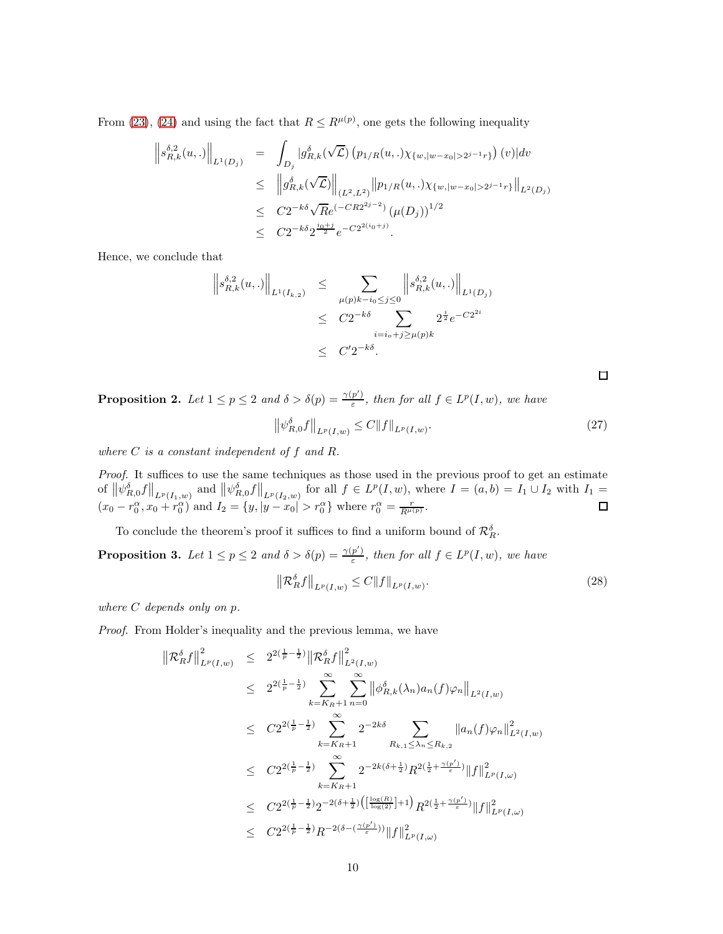From [\(23\)](#page-7-1), [\(24\)](#page-7-4) and using the fact that  $R \le R^{\mu(p)}$ , one gets the following inequality

$$
\begin{array}{rcl} \left\|s_{R,k}^{\delta,2}(u,.)\right\|_{L^{1}(D_{j})} & = & \displaystyle \int_{D_{j}}|g_{R,k}^{\delta}(\sqrt{\mathcal{L}})\left(p_{1/R}(u,.)\chi_{\{w,|w-x_{0}|>2^{j-1}r\}}\right)(v)|dv \\ \\ & \leq & \left\|g_{R,k}^{\delta}(\sqrt{\mathcal{L}})\right\|_{(L^{2},L^{2})}\|p_{1/R}(u,.)\chi_{\{w,|w-x_{0}|>2^{j-1}r\}}\|_{L^{2}(D_{j})} \\ \\ & \leq & C2^{-k\delta}\sqrt{R}e^{(-CR2^{2j-2})}\left(\mu(D_{j})\right)^{1/2} \\ \\ & \leq & C2^{-k\delta}2^{\frac{i_{0}+j}{2}}e^{-C2^{2(i_{0}+j)}}. \end{array}
$$

Hence, we conclude that

$$
\|s_{R,k}^{\delta,2}(u,.)\|_{L^1(I_{k,2})} \leq \sum_{\mu(p)k-i_0 \leq j \leq 0} \|s_{R,k}^{\delta,2}(u,.)\|_{L^1(D_j)}
$$
  

$$
\leq C2^{-k\delta} \sum_{i=i_0+j \geq \mu(p)k} 2^{\frac{j}{2}} e^{-C2^{2i}}
$$
  

$$
\leq C'2^{-k\delta}.
$$

**Proposition 2.** Let  $1 \leq p \leq 2$  and  $\delta > \delta(p) = \frac{\gamma(p')}{\varepsilon}$  $\frac{p'}{g}$ , then for all  $f \in L^p(I, w)$ , we have

$$
\left\| \psi_{R,0}^{\delta} f \right\|_{L^p(I,w)} \le C \|f\|_{L^p(I,w)}.
$$
\n(27)

 $\Box$ 

where  $C$  is a constant independent of  $f$  and  $R$ .

Proof. It suffices to use the same techniques as those used in the previous proof to get an estimate of  $\left\|\psi_{R,0}^{\delta}f\right\|_{L^p(I_1,w)}$  and  $\left\|\psi_{R,0}^{\delta}f\right\|_{L^p(I_2,w)}$  for all  $f \in L^p(I,w)$ , where  $I = (a, b) = I_1 \cup I_2$  with  $I_1 =$  $(x_0 - r_0^{\alpha}, x_0 + r_0^{\alpha})$  and  $I_2 = \{y, |y - x_0| > r_0^{\alpha}\}\$  where  $r_0^{\alpha} = \frac{r}{R^{\mu(\rho)}}$ .

To conclude the theorem's proof it suffices to find a uniform bound of  $\mathcal{R}_R^{\delta}$ .

**Proposition 3.** Let  $1 \leq p \leq 2$  and  $\delta > \delta(p) = \frac{\gamma(p')}{\varepsilon}$  $\frac{p'}{g}$ , then for all  $f \in L^p(I, w)$ , we have

$$
\left\| \mathcal{R}_{R}^{\delta} f \right\|_{L^{p}(I,w)} \leq C \|f\|_{L^{p}(I,w)}.
$$
\n(28)

where C depends only on p.

Proof. From Holder's inequality and the previous lemma, we have

$$
\begin{array}{lcl} \left\| \mathcal{R}_{R}^{\delta} f \right\|_{L^{p}(I,w)}^{2} & \leq & 2^{2\left(\frac{1}{p} - \frac{1}{2}\right)} \left\| \mathcal{R}_{R}^{\delta} f \right\|_{L^{2}(I,w)}^{2} \\ & \leq & 2^{2\left(\frac{1}{p} - \frac{1}{2}\right)} \sum_{k=K_{R}+1}^{\infty} \sum_{n=0}^{\infty} \left\| \phi_{R,k}^{\delta}(\lambda_{n}) a_{n}(f) \varphi_{n} \right\|_{L^{2}(I,w)} \\ & \leq & C2^{2\left(\frac{1}{p} - \frac{1}{2}\right)} \sum_{k=K_{R}+1}^{\infty} 2^{-2k\delta} \sum_{R_{k,1} \leq \lambda_{n} \leq R_{k,2}} \left\| a_{n}(f) \varphi_{n} \right\|_{L^{2}(I,w)}^{2} \\ & \leq & C2^{2\left(\frac{1}{p} - \frac{1}{2}\right)} \sum_{k=K_{R}+1}^{\infty} 2^{-2k(\delta + \frac{1}{2})} R^{2\left(\frac{1}{2} + \frac{\gamma(p')}{\varepsilon}\right)} \|f\|_{L^{p}(I,\omega)}^{2} \\ & \leq & C2^{2\left(\frac{1}{p} - \frac{1}{2}\right)} 2^{-2(\delta + \frac{1}{2})} \left( \left[ \frac{\log(R)}{\log(2)} \right] + 1 \right) R^{2\left(\frac{1}{2} + \frac{\gamma(p')}{\varepsilon}\right)} \|f\|_{L^{p}(I,\omega)}^{2} \\ & \leq & C2^{2\left(\frac{1}{p} - \frac{1}{2}\right)} R^{-2(\delta - \left(\frac{\gamma(p')}{\varepsilon}\right))} \|f\|_{L^{p}(I,\omega)}^{2} \end{array}
$$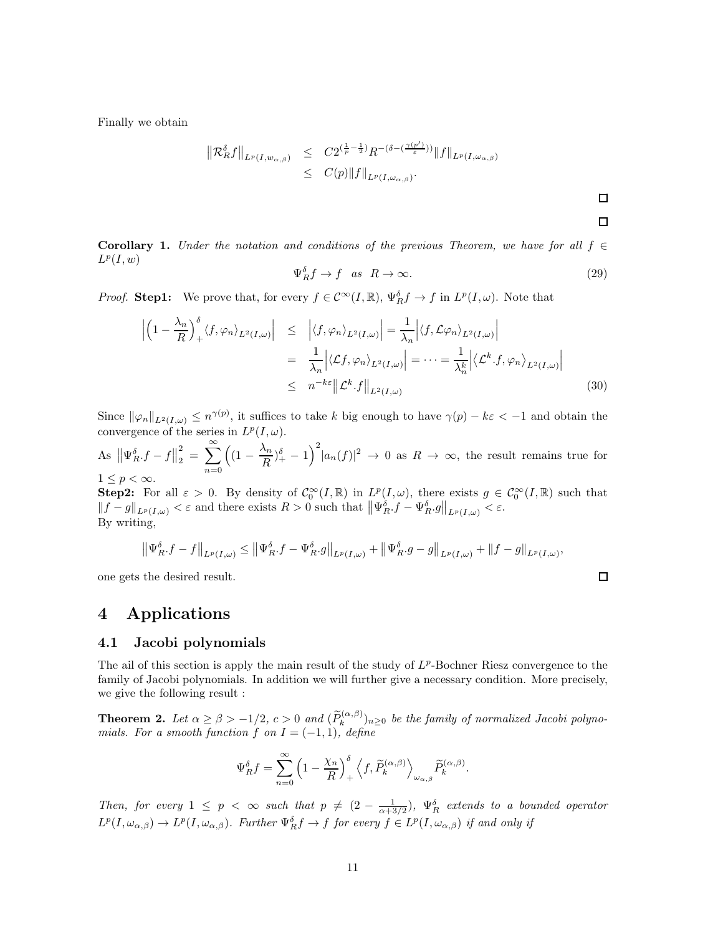Finally we obtain

$$
\begin{array}{rcl}\n\left\|\mathcal{R}_{R}^{\delta}f\right\|_{L^{p}(I,w_{\alpha,\beta})} & \leq & C2^{\left(\frac{1}{p}-\frac{1}{2}\right)}R^{-(\delta-(\frac{\gamma(p')}{\varepsilon}))}\|f\|_{L^{p}(I,\omega_{\alpha,\beta})} \\
& \leq & C(p)\|f\|_{L^{p}(I,\omega_{\alpha,\beta})}.\n\end{array}
$$

 $\Box$ 

 $\Box$ 

Corollary 1. Under the notation and conditions of the previous Theorem, we have for all  $f \in$  $L^p(I, w)$ 

$$
\Psi_R^{\delta} f \to f \quad as \quad R \to \infty. \tag{29}
$$

*Proof.* **Step1:** We prove that, for every  $f \in C^{\infty}(I,\mathbb{R})$ ,  $\Psi_R^{\delta} f \to f$  in  $L^p(I,\omega)$ . Note that

$$
\left| \left( 1 - \frac{\lambda_n}{R} \right)_+^\delta \langle f, \varphi_n \rangle_{L^2(I, \omega)} \right| \leq \left| \langle f, \varphi_n \rangle_{L^2(I, \omega)} \right| = \frac{1}{\lambda_n} \left| \langle f, \mathcal{L}\varphi_n \rangle_{L^2(I, \omega)} \right|
$$
  
\n
$$
= \frac{1}{\lambda_n} \left| \langle \mathcal{L}f, \varphi_n \rangle_{L^2(I, \omega)} \right| = \dots = \frac{1}{\lambda_n^k} \left| \langle \mathcal{L}^k \cdot f, \varphi_n \rangle_{L^2(I, \omega)} \right|
$$
  
\n
$$
\leq n^{-k\varepsilon} \left\| \mathcal{L}^k \cdot f \right\|_{L^2(I, \omega)}
$$
\n(30)

Since  $\|\varphi_n\|_{L^2(I,\omega)} \leq n^{\gamma(p)}$ , it suffices to take k big enough to have  $\gamma(p) - k\varepsilon < -1$  and obtain the convergence of the series in  $L^p(I, \omega)$ .

As  $\left\|\Psi_R^{\delta}.f-f\right\|_2^2$  $\sum_{2}^{2} = \sum_{2}^{\infty}$  $n=0$  $\left(1-\frac{\lambda_n}{R}\right)$  $\frac{\lambda_n}{R}$ )<sup> $\frac{\delta}{+}$ </sup> - 1)<sup>2</sup>| $a_n(f)$ |<sup>2</sup>  $\rightarrow$  0 as  $R \rightarrow \infty$ , the result remains true for  $1 \leq p < \infty$ .

**Step2:** For all  $\varepsilon > 0$ . By density of  $C_0^{\infty}(I,\mathbb{R})$  in  $L^p(I,\omega)$ , there exists  $g \in C_0^{\infty}(I,\mathbb{R})$  such that  $||f-g||_{L^p(I,\omega)} < \varepsilon$  and there exists  $R > 0$  such that  $||\Psi_R^{\delta} \cdot f - \Psi_R^{\delta} \cdot g||_{L^p(I,\omega)} < \varepsilon$ . By writing,

$$
\left\| \Psi_R^{\delta} f - f \right\|_{L^p(I,\omega)} \le \left\| \Psi_R^{\delta} f - \Psi_R^{\delta} g \right\|_{L^p(I,\omega)} + \left\| \Psi_R^{\delta} g - g \right\|_{L^p(I,\omega)} + \left\| f - g \right\|_{L^p(I,\omega)},
$$

one gets the desired result.

# 4 Applications

#### 4.1 Jacobi polynomials

The ail of this section is apply the main result of the study of  $L^p$ -Bochner Riesz convergence to the family of Jacobi polynomials. In addition we will further give a necessary condition. More precisely, we give the following result :

**Theorem 2.** Let  $\alpha \geq \beta > -1/2$ ,  $c > 0$  and  $(\widetilde{P}_k^{(\alpha,\beta)})_{n\geq 0}$  be the family of normalized Jacobi polynomials. For a smooth function f on  $I = (-1, 1)$ , define

$$
\Psi_R^{\delta} f = \sum_{n=0}^{\infty} \left(1 - \frac{\chi_n}{R}\right)_+^{\delta} \left\langle f, \widetilde{P}_k^{(\alpha,\beta)} \right\rangle_{\omega_{\alpha,\beta}} \widetilde{P}_k^{(\alpha,\beta)}.
$$

Then, for every  $1 \leq p \leq \infty$  such that  $p \neq (2 - \frac{1}{\alpha + 3/2})$ ,  $\Psi_R^{\delta}$  extends to a bounded operator  $L^p(I, \omega_{\alpha,\beta}) \to L^p(I, \omega_{\alpha,\beta})$ . Further  $\Psi_R^{\delta} f \to f$  for every  $f \in L^p(I, \omega_{\alpha,\beta})$  if and only if

 $\Box$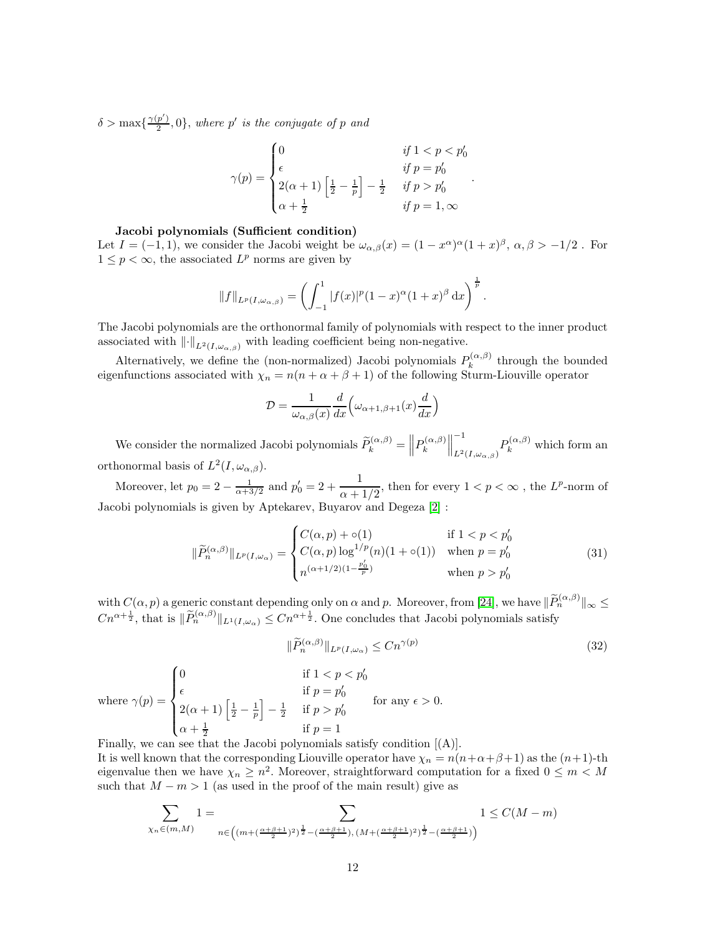$\delta > \max\left\{\frac{\gamma(p')}{2}\right\}$  $\binom{p'}{2}$ , 0, where p' is the conjugate of p and

$$
\gamma(p) = \begin{cases}\n0 & \text{if } 1 < p < p'_0 \\
\epsilon & \text{if } p = p'_0 \\
2(\alpha + 1) \left[ \frac{1}{2} - \frac{1}{p} \right] - \frac{1}{2} & \text{if } p > p'_0 \\
\alpha + \frac{1}{2} & \text{if } p = 1, \infty\n\end{cases}.
$$

#### Jacobi polynomials (Sufficient condition)

Let  $I = (-1, 1)$ , we consider the Jacobi weight be  $\omega_{\alpha,\beta}(x) = (1 - x^{\alpha})^{\alpha}(1 + x)^{\beta}$ ,  $\alpha, \beta > -1/2$ . For  $1 \leq p < \infty$ , the associated  $L^p$  norms are given by

$$
||f||_{L^p(I,\omega_{\alpha,\beta})} = \left(\int_{-1}^1 |f(x)|^p (1-x)^{\alpha} (1+x)^{\beta} dx\right)^{\frac{1}{p}}.
$$

The Jacobi polynomials are the orthonormal family of polynomials with respect to the inner product associated with  $\lVert \cdot \rVert_{L^2(I,\omega_{\alpha,\beta})}$  with leading coefficient being non-negative.

Alternatively, we define the (non-normalized) Jacobi polynomials  $P_k^{(\alpha,\beta)}$  $\int_{k}^{(\alpha,\beta)}$  through the bounded eigenfunctions associated with  $\chi_n = n(n + \alpha + \beta + 1)$  of the following Sturm-Liouville operator

$$
\mathcal{D} = \frac{1}{\omega_{\alpha,\beta}(x)} \frac{d}{dx} \left( \omega_{\alpha+1,\beta+1}(x) \frac{d}{dx} \right)
$$

We consider the normalized Jacobi polynomials  $\widetilde{P}_k^{(\alpha,\beta)} = \left\| P_k^{(\alpha,\beta)} \right\|$ k  $\biggl\| \biggr\|$ −1  $L^2(I,\omega_{\alpha,\beta})P_k^{(\alpha,\beta)}$  which form an orthonormal basis of  $L^2(I, \omega_{\alpha,\beta})$ .

Moreover, let  $p_0 = 2 - \frac{1}{\alpha + 3/2}$  and  $p'_0 = 2 + \frac{1}{\alpha + 1}$  $\frac{1}{\alpha+1/2}$ , then for every  $1 < p < \infty$ , the  $L^p$ -norm of Jacobi polynomials is given by Aptekarev, Buyarov and Degeza [\[2\]](#page-13-1) :

$$
\|\widetilde{P}_n^{(\alpha,\beta)}\|_{L^p(I,\omega_\alpha)} = \begin{cases} C(\alpha,p) + \circ(1) & \text{if } 1 < p < p_0' \\ C(\alpha,p) \log^{1/p}(n)(1+\circ(1)) & \text{when } p = p_0' \\ n^{(\alpha+1/2)(1-\frac{p_0'}{p})} & \text{when } p > p_0' \end{cases} \tag{31}
$$

with  $C(\alpha, p)$  a generic constant depending only on  $\alpha$  and p. Moreover, from [\[24\]](#page-15-2), we have  $\|\widetilde{P}_n^{(\alpha,\beta)}\|_{\infty} \leq$  $Cn^{\alpha + \frac{1}{2}}$ , that is  $\|\widetilde{P}_n^{(\alpha,\beta)}\|_{L^1(I,\omega_\alpha)} \leq Cn^{\alpha + \frac{1}{2}}$ . One concludes that Jacobi polynomials satisfy

$$
\|\widetilde{P}_n^{(\alpha,\beta)}\|_{L^p(I,\omega_\alpha)} \le Cn^{\gamma(p)}\tag{32}
$$

where  $\gamma(p) =$  $\sqrt{ }$  $\Big\}$  $\overline{\mathcal{L}}$ 0 if  $1 < p < p'_0$  $\epsilon$  if  $p = p'_0$ <br>  $2(\alpha + 1) \left[ \frac{1}{2} - \frac{1}{p} \right] - \frac{1}{2}$  if  $p > p'_0$ i  $-\frac{1}{2}$  if  $p > p'_0$  $\alpha + \frac{1}{2}$  if  $p = 1$ for any  $\epsilon > 0$ .

Finally, we can see that the Jacobi polynomials satisfy condition [(A)]. It is well known that the corresponding Liouville operator have  $\chi_n = n(n+\alpha+\beta+1)$  as the  $(n+1)$ -th eigenvalue then we have  $\chi_n \geq n^2$ . Moreover, straightforward computation for a fixed  $0 \leq m < M$ such that  $M - m > 1$  (as used in the proof of the main result) give as

$$
\sum_{\chi_n \in (m,M)} 1 = \sum_{n \in \left( (m + (\frac{\alpha + \beta + 1}{2})^2)^{\frac{1}{2}} - (\frac{\alpha + \beta + 1}{2}), (M + (\frac{\alpha + \beta + 1}{2})^2)^{\frac{1}{2}} - (\frac{\alpha + \beta + 1}{2}) \right)} 1 \le C(M-m)
$$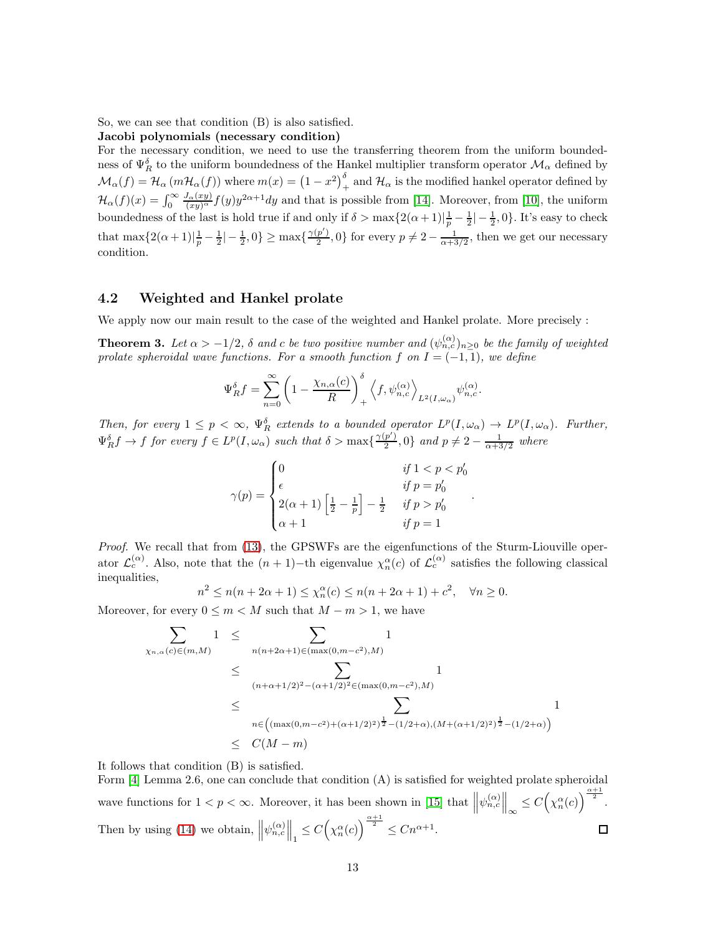So, we can see that condition (B) is also satisfied. Jacobi polynomials (necessary condition)

For the necessary condition, we need to use the transferring theorem from the uniform boundedness of  $\Psi_R^{\delta}$  to the uniform boundedness of the Hankel multiplier transform operator  $\mathcal{M}_{\alpha}$  defined by  $\mathcal{M}_\alpha(f) = \mathcal{H}_\alpha(m\mathcal{H}_\alpha(f))$  where  $m(x) = (1-x^2)_{+}^{\delta}$  and  $\mathcal{H}_\alpha$  is the modified hankel operator defined by  $\mathcal{H}_{\alpha}(f)(x) = \int_0^{\infty}$  $\frac{J_{\alpha}(xy)}{(xy)^{\alpha}}f(y)y^{2\alpha+1}dy$  and that is possible from [\[14\]](#page-14-13). Moreover, from [\[10\]](#page-14-14), the uniform boundedness of the last is hold true if and only if  $\delta > \max\{2(\alpha+1)|\frac{1}{p}-\frac{1}{2}|-\frac{1}{2},0\}$ . It's easy to check that  $\max\{2(\alpha+1)|\frac{1}{p}-\frac{1}{2}|-\frac{1}{2},0\}\geq \max\{\frac{\gamma(p')}{2}$  $\frac{p'}{2}$ , 0} for every  $p \neq 2 - \frac{1}{\alpha + 3/2}$ , then we get our necessary condition.

### 4.2 Weighted and Hankel prolate

We apply now our main result to the case of the weighted and Hankel prolate. More precisely :

**Theorem 3.** Let  $\alpha > -1/2$ ,  $\delta$  and  $c$  be two positive number and  $(\psi_{n,c}^{(\alpha)})_{n\geq 0}$  be the family of weighted prolate spheroidal wave functions. For a smooth function f on  $I = (-1, 1)$ , we define

$$
\Psi_R^{\delta} f = \sum_{n=0}^{\infty} \left( 1 - \frac{\chi_{n,\alpha}(c)}{R} \right)_+^{\delta} \left\langle f, \psi_{n,c}^{(\alpha)} \right\rangle_{L^2(I,\omega_\alpha)} \psi_{n,c}^{(\alpha)}.
$$

Then, for every  $1 \leq p < \infty$ ,  $\Psi_R^{\delta}$  extends to a bounded operator  $L^p(I, \omega_\alpha) \to L^p(I, \omega_\alpha)$ . Further,  $\Psi_R^{\delta} f \to f$  for every  $f \in L^p(I, \omega_\alpha)$  such that  $\delta > \max\{\frac{\gamma(p')}{2}\}$  $\frac{p'}{2}$ , 0} and  $p \neq 2 - \frac{1}{\alpha + 3/2}$  where

$$
\gamma(p) = \begin{cases} 0 & \text{if } 1 < p < p'_0 \\ \epsilon & \text{if } p = p'_0 \\ 2(\alpha + 1) \left[ \frac{1}{2} - \frac{1}{p} \right] - \frac{1}{2} & \text{if } p > p'_0 \\ \alpha + 1 & \text{if } p = 1 \end{cases}
$$

.

Proof. We recall that from [\(13\)](#page-3-0), the GPSWFs are the eigenfunctions of the Sturm-Liouville operator  $\mathcal{L}_c^{(\alpha)}$ . Also, note that the  $(n+1)-$ th eigenvalue  $\chi_n^{\alpha}(c)$  of  $\mathcal{L}_c^{(\alpha)}$  satisfies the following classical inequalities,

$$
n^2 \le n(n+2\alpha+1) \le \chi_n^{\alpha}(c) \le n(n+2\alpha+1) + c^2, \quad \forall n \ge 0.
$$

Moreover, for every  $0 \leq m < M$  such that  $M - m > 1$ , we have

$$
\sum_{\chi_{n,\alpha}(c)\in(m,M)} 1 \leq \sum_{n(n+2\alpha+1)\in(\max(0,m-c^2),M)} 1
$$
\n
$$
\leq \sum_{(n+\alpha+1/2)^2-(\alpha+1/2)^2\in(\max(0,m-c^2),M)} 1
$$
\n
$$
\leq \sum_{n\in((\max(0,m-c^2)+(\alpha+1/2)^2)^{\frac{1}{2}}-(1/2+\alpha),(M+(\alpha+1/2)^2)^{\frac{1}{2}}-(1/2+\alpha))} 1
$$
\n
$$
\leq C(M-m)
$$

It follows that condition (B) is satisfied.

Form [\[4\]](#page-14-15) Lemma 2.6, one can conclude that condition (A) is satisfied for weighted prolate spheroidal wave functions for  $1 < p < \infty$ . Moreover, it has been shown in [\[15\]](#page-14-12) that  $\left\|\psi_{n,c}^{(\alpha)}\right\|_{\infty} \leq C\left(\chi_n^{\alpha}(c)\right)^{\frac{\alpha+1}{2}}$ . Then by using [\(14\)](#page-3-1) we obtain,  $\left\|\psi_{n,c}^{(\alpha)}\right\|_1 \leq C\left(\chi_n^{\alpha}(c)\right)^{\frac{\alpha+1}{2}} \leq Cn^{\alpha+1}$ .  $\Box$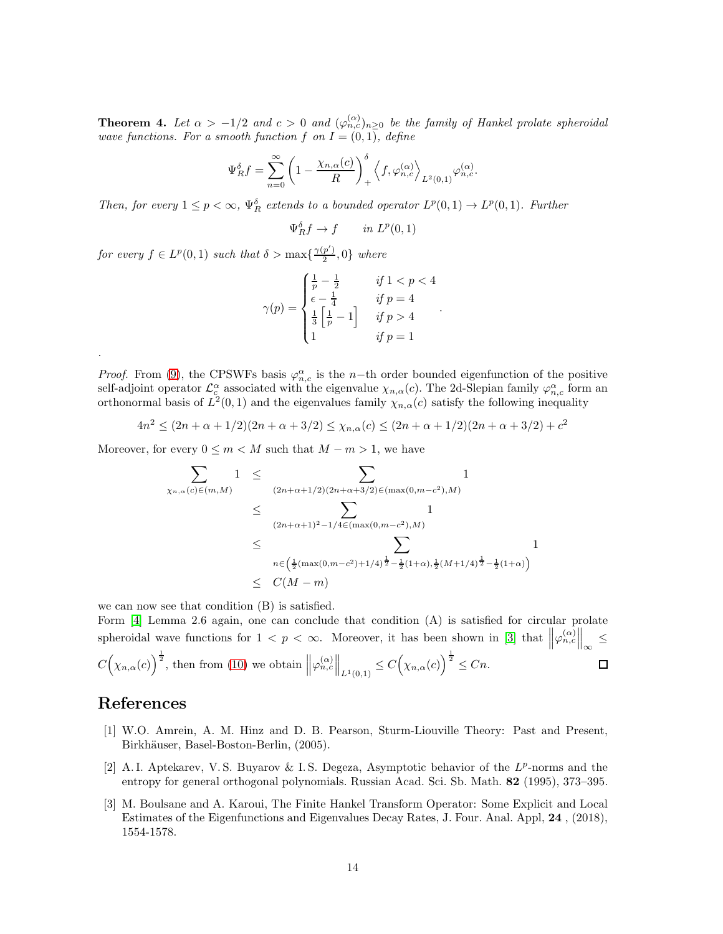**Theorem 4.** Let  $\alpha > -1/2$  and  $c > 0$  and  $(\varphi_{n,c}^{(\alpha)})_{n \geq 0}$  be the family of Hankel prolate spheroidal wave functions. For a smooth function f on  $I = (0, 1)$ , define

$$
\Psi_R^{\delta} f = \sum_{n=0}^{\infty} \left( 1 - \frac{\chi_{n,\alpha}(c)}{R} \right)_+^{\delta} \left\langle f, \varphi_{n,c}^{(\alpha)} \right\rangle_{L^2(0,1)} \varphi_{n,c}^{(\alpha)}.
$$

Then, for every  $1 \leq p < \infty$ ,  $\Psi_R^{\delta}$  extends to a bounded operator  $L^p(0,1) \to L^p(0,1)$ . Further

$$
\Psi_R^{\delta} f \to f \qquad in \ L^p(0,1)
$$

for every  $f \in L^p(0,1)$  such that  $\delta > \max\{\frac{\gamma(p')}{2}\}$  $\frac{p}{2}$ , 0} where

$$
\gamma(p) = \begin{cases} \frac{1}{p} - \frac{1}{2} & \text{if } 1 < p < 4\\ \epsilon - \frac{1}{4} & \text{if } p = 4\\ \frac{1}{3} \left[ \frac{1}{p} - 1 \right] & \text{if } p > 4\\ 1 & \text{if } p = 1 \end{cases}
$$

.

*Proof.* From [\(9\)](#page-3-2), the CPSWFs basis  $\varphi_{n,c}^{\alpha}$  is the n-th order bounded eigenfunction of the positive self-adjoint operator  $\mathcal{L}_c^{\alpha}$  associated with the eigenvalue  $\chi_{n,\alpha}(c)$ . The 2d-Slepian family  $\varphi_{n,c}^{\alpha}$  form an orthonormal basis of  $L^2(0,1)$  and the eigenvalues family  $\chi_{n,\alpha}(c)$  satisfy the following inequality

$$
4n^2 \le (2n + \alpha + 1/2)(2n + \alpha + 3/2) \le \chi_{n,\alpha}(c) \le (2n + \alpha + 1/2)(2n + \alpha + 3/2) + c^2
$$

Moreover, for every  $0 \leq m < M$  such that  $M - m > 1$ , we have

$$
\sum_{\chi_{n,\alpha}(c)\in(m,M)} 1 \leq \sum_{(2n+\alpha+1/2)(2n+\alpha+3/2)\in(\max(0,m-c^2),M)} 1
$$
\n
$$
\leq \sum_{(2n+\alpha+1)^2-1/4\in(\max(0,m-c^2),M)} 1
$$
\n
$$
\leq \sum_{n\in\left(\frac{1}{2}(\max(0,m-c^2)+1/4)^{\frac{1}{2}}-\frac{1}{2}(1+\alpha),\frac{1}{2}(M+1/4)^{\frac{1}{2}}-\frac{1}{2}(1+\alpha)\right)} 1
$$
\n
$$
\leq C(M-m)
$$

we can now see that condition (B) is satisfied.

Form [\[4\]](#page-14-15) Lemma 2.6 again, one can conclude that condition (A) is satisfied for circular prolate spheroidal wave functions for  $1 < p < \infty$ . Moreover, it has been shown in [\[3\]](#page-13-0) that  $\left\|\varphi_{n,c}^{(\alpha)}\right\|_{\infty} \leq$  $C(\chi_{n,\alpha}(c))^{\frac{1}{2}}$ , then from [\(10\)](#page-3-3) we obtain  $\left\|\varphi_{n,c}^{(\alpha)}\right\|_{L^1(0,1)} \leq C(\chi_{n,\alpha}(c))^{\frac{1}{2}} \leq Cn$ .  $\Box$ 

## References

.

- [1] W.O. Amrein, A. M. Hinz and D. B. Pearson, Sturm-Liouville Theory: Past and Present, Birkhäuser, Basel-Boston-Berlin, (2005).
- <span id="page-13-1"></span>[2] A.I. Aptekarev, V.S. Buyarov & I.S. Degeza, Asymptotic behavior of the  $L^p$ -norms and the entropy for general orthogonal polynomials. Russian Acad. Sci. Sb. Math. 82 (1995), 373–395.
- <span id="page-13-0"></span>[3] M. Boulsane and A. Karoui, The Finite Hankel Transform Operator: Some Explicit and Local Estimates of the Eigenfunctions and Eigenvalues Decay Rates, J. Four. Anal. Appl, 24 , (2018), 1554-1578.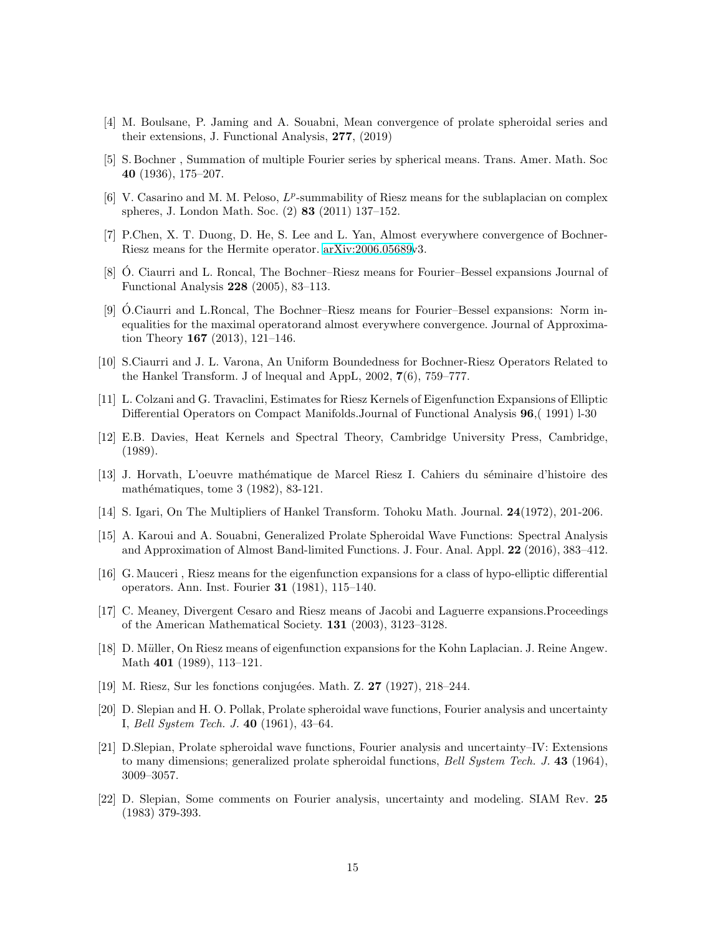- <span id="page-14-15"></span><span id="page-14-0"></span>[4] M. Boulsane, P. Jaming and A. Souabni, Mean convergence of prolate spheroidal series and their extensions, J. Functional Analysis, 277, (2019)
- [5] S. Bochner , Summation of multiple Fourier series by spherical means. Trans. Amer. Math. Soc 40 (1936), 175–207.
- <span id="page-14-6"></span>[6] V. Casarino and M. M. Peloso,  $L^p$ -summability of Riesz means for the sublaplacian on complex spheres, J. London Math. Soc. (2) 83 (2011) 137–152.
- <span id="page-14-8"></span><span id="page-14-4"></span>[7] P.Chen, X. T. Duong, D. He, S. Lee and L. Yan, Almost everywhere convergence of Bochner-Riesz means for the Hermite operator. [arXiv:2006.05689v](http://arxiv.org/abs/2006.05689)3.
- [8]  $\dot{\text{O}}$ . Ciaurri and L. Roncal, The Bochner–Riesz means for Fourier–Bessel expansions Journal of Functional Analysis 228 (2005), 83–113.
- <span id="page-14-5"></span>[9] O.Ciaurri and L.Roncal, The Bochner–Riesz means for Fourier–Bessel expansions: Norm inequalities for the maximal operatorand almost everywhere convergence. Journal of Approximation Theory 167 (2013), 121–146.
- <span id="page-14-14"></span>[10] S.Ciaurri and J. L. Varona, An Uniform Boundedness for Bochner-Riesz Operators Related to the Hankel Transform. J of lnequal and AppL, 2002, 7(6), 759–777.
- <span id="page-14-1"></span>[11] L. Colzani and G. Travaclini, Estimates for Riesz Kernels of Eigenfunction Expansions of Elliptic Differential Operators on Compact Manifolds.Journal of Functional Analysis 96,( 1991) l-30
- [12] E.B. Davies, Heat Kernels and Spectral Theory, Cambridge University Press, Cambridge, (1989).
- [13] J. Horvath, L'oeuvre math´ematique de Marcel Riesz I. Cahiers du s´eminaire d'histoire des mathématiques, tome 3  $(1982)$ , 83-121.
- <span id="page-14-13"></span><span id="page-14-12"></span>[14] S. Igari, On The Multipliers of Hankel Transform. Tohoku Math. Journal. 24(1972), 201-206.
- [15] A. Karoui and A. Souabni, Generalized Prolate Spheroidal Wave Functions: Spectral Analysis and Approximation of Almost Band-limited Functions. J. Four. Anal. Appl. 22 (2016), 383–412.
- <span id="page-14-2"></span>[16] G. Mauceri , Riesz means for the eigenfunction expansions for a class of hypo-elliptic differential operators. Ann. Inst. Fourier 31 (1981), 115–140.
- <span id="page-14-7"></span>[17] C. Meaney, Divergent Cesaro and Riesz means of Jacobi and Laguerre expansions.Proceedings of the American Mathematical Society. 131 (2003), 3123–3128.
- <span id="page-14-3"></span>[18] D. Müller, On Riesz means of eigenfunction expansions for the Kohn Laplacian. J. Reine Angew. Math 401 (1989), 113–121.
- <span id="page-14-9"></span>[19] M. Riesz, Sur les fonctions conjugées. Math. Z. 27 (1927), 218–244.
- [20] D. Slepian and H. O. Pollak, Prolate spheroidal wave functions, Fourier analysis and uncertainty I, Bell System Tech. J. 40 (1961), 43–64.
- <span id="page-14-10"></span>[21] D.Slepian, Prolate spheroidal wave functions, Fourier analysis and uncertainty–IV: Extensions to many dimensions; generalized prolate spheroidal functions, Bell System Tech. J. 43 (1964), 3009–3057.
- <span id="page-14-11"></span>[22] D. Slepian, Some comments on Fourier analysis, uncertainty and modeling. SIAM Rev. 25 (1983) 379-393.